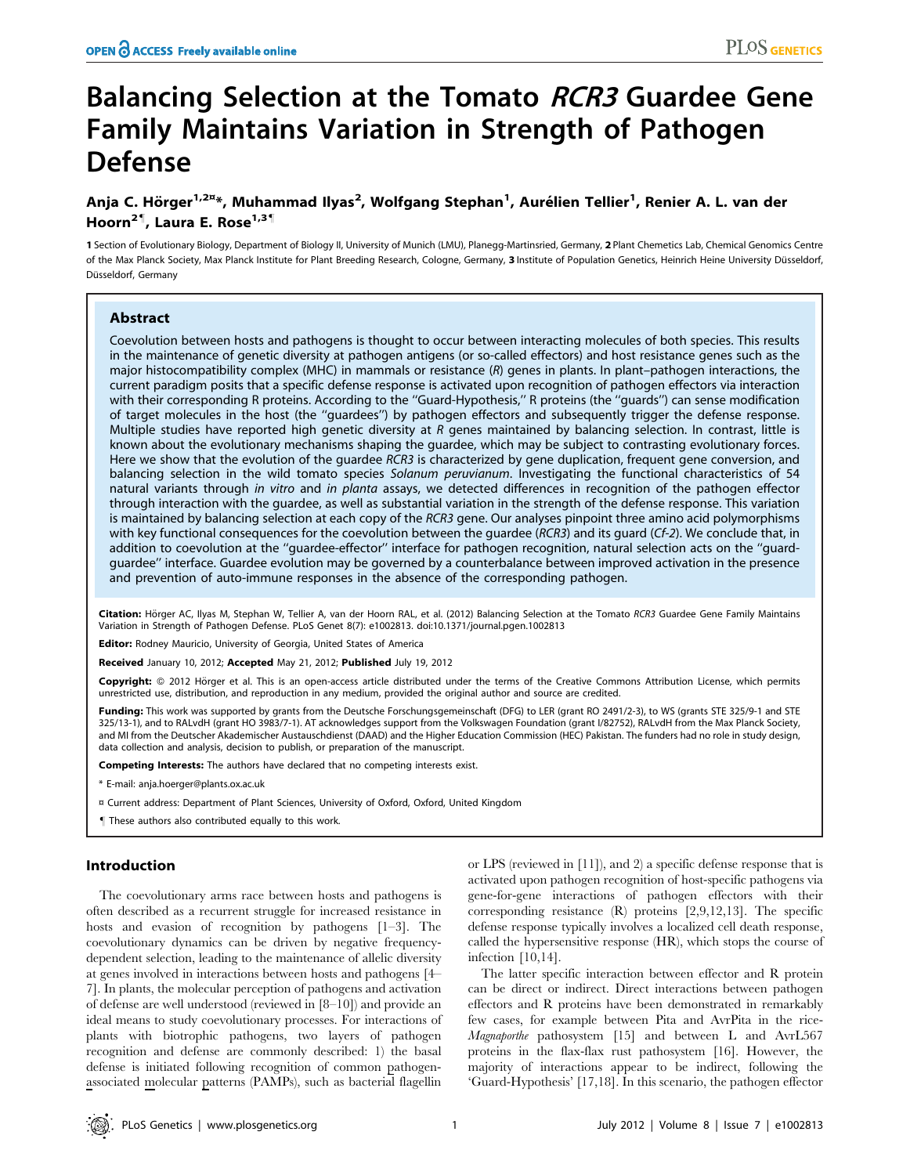# Balancing Selection at the Tomato RCR3 Guardee Gene Family Maintains Variation in Strength of Pathogen Defense

# Anja C. Hörger<sup>1,2¤</sup>\*, Muhammad Ilyas<sup>2</sup>, Wolfgang Stephan<sup>1</sup>, Aurélien Tellier<sup>1</sup>, Renier A. L. van der Hoorn<sup>21</sup>, Laura E. Rose<sup>1,31</sup>

1 Section of Evolutionary Biology, Department of Biology II, University of Munich (LMU), Planegg-Martinsried, Germany, 2 Plant Chemetics Lab, Chemical Genomics Centre of the Max Planck Society, Max Planck Institute for Plant Breeding Research, Cologne, Germany, 3 Institute of Population Genetics, Heinrich Heine University Düsseldorf, Düsseldorf, Germany

# Abstract

Coevolution between hosts and pathogens is thought to occur between interacting molecules of both species. This results in the maintenance of genetic diversity at pathogen antigens (or so-called effectors) and host resistance genes such as the major histocompatibility complex (MHC) in mammals or resistance (R) genes in plants. In plant–pathogen interactions, the current paradigm posits that a specific defense response is activated upon recognition of pathogen effectors via interaction with their corresponding R proteins. According to the ''Guard-Hypothesis,'' R proteins (the ''guards'') can sense modification of target molecules in the host (the ''guardees'') by pathogen effectors and subsequently trigger the defense response. Multiple studies have reported high genetic diversity at  $R$  genes maintained by balancing selection. In contrast, little is known about the evolutionary mechanisms shaping the guardee, which may be subject to contrasting evolutionary forces. Here we show that the evolution of the guardee RCR3 is characterized by gene duplication, frequent gene conversion, and balancing selection in the wild tomato species Solanum peruvianum. Investigating the functional characteristics of 54 natural variants through in vitro and in planta assays, we detected differences in recognition of the pathogen effector through interaction with the guardee, as well as substantial variation in the strength of the defense response. This variation is maintained by balancing selection at each copy of the RCR3 gene. Our analyses pinpoint three amino acid polymorphisms with key functional consequences for the coevolution between the guardee (RCR3) and its guard (Cf-2). We conclude that, in addition to coevolution at the ''guardee-effector'' interface for pathogen recognition, natural selection acts on the ''guardguardee'' interface. Guardee evolution may be governed by a counterbalance between improved activation in the presence and prevention of auto-immune responses in the absence of the corresponding pathogen.

Citation: Hörger AC, Ilyas M, Stephan W, Tellier A, van der Hoorn RAL, et al. (2012) Balancing Selection at the Tomato RCR3 Guardee Gene Family Maintains Variation in Strength of Pathogen Defense. PLoS Genet 8(7): e1002813. doi:10.1371/journal.pgen.1002813

Editor: Rodney Mauricio, University of Georgia, United States of America

Received January 10, 2012; Accepted May 21, 2012; Published July 19, 2012

Copyright: © 2012 Hörger et al. This is an open-access article distributed under the terms of the Creative Commons Attribution License, which permits unrestricted use, distribution, and reproduction in any medium, provided the original author and source are credited.

Funding: This work was supported by grants from the Deutsche Forschungsgemeinschaft (DFG) to LER (grant RO 2491/2-3), to WS (grants STE 325/9-1 and STE 325/13-1), and to RALvdH (grant HO 3983/7-1). AT acknowledges support from the Volkswagen Foundation (grant I/82752), RALvdH from the Max Planck Society, and MI from the Deutscher Akademischer Austauschdienst (DAAD) and the Higher Education Commission (HEC) Pakistan. The funders had no role in study design, data collection and analysis, decision to publish, or preparation of the manuscript.

Competing Interests: The authors have declared that no competing interests exist.

- \* E-mail: anja.hoerger@plants.ox.ac.uk
- ¤ Current address: Department of Plant Sciences, University of Oxford, Oxford, United Kingdom
- " These authors also contributed equally to this work.

# Introduction

The coevolutionary arms race between hosts and pathogens is often described as a recurrent struggle for increased resistance in hosts and evasion of recognition by pathogens  $[1-3]$ . The coevolutionary dynamics can be driven by negative frequencydependent selection, leading to the maintenance of allelic diversity at genes involved in interactions between hosts and pathogens [4– 7]. In plants, the molecular perception of pathogens and activation of defense are well understood (reviewed in [8–10]) and provide an ideal means to study coevolutionary processes. For interactions of plants with biotrophic pathogens, two layers of pathogen recognition and defense are commonly described: 1) the basal defense is initiated following recognition of common pathogenassociated molecular patterns (PAMPs), such as bacterial flagellin

or LPS (reviewed in [11]), and 2) a specific defense response that is activated upon pathogen recognition of host-specific pathogens via gene-for-gene interactions of pathogen effectors with their corresponding resistance  $(R)$  proteins  $[2,9,12,13]$ . The specific defense response typically involves a localized cell death response, called the hypersensitive response (HR), which stops the course of infection  $[10,14]$ .

The latter specific interaction between effector and R protein can be direct or indirect. Direct interactions between pathogen effectors and R proteins have been demonstrated in remarkably few cases, for example between Pita and AvrPita in the rice-Magnaporthe pathosystem [15] and between L and AvrL567 proteins in the flax-flax rust pathosystem [16]. However, the majority of interactions appear to be indirect, following the 'Guard-Hypothesis' [17,18]. In this scenario, the pathogen effector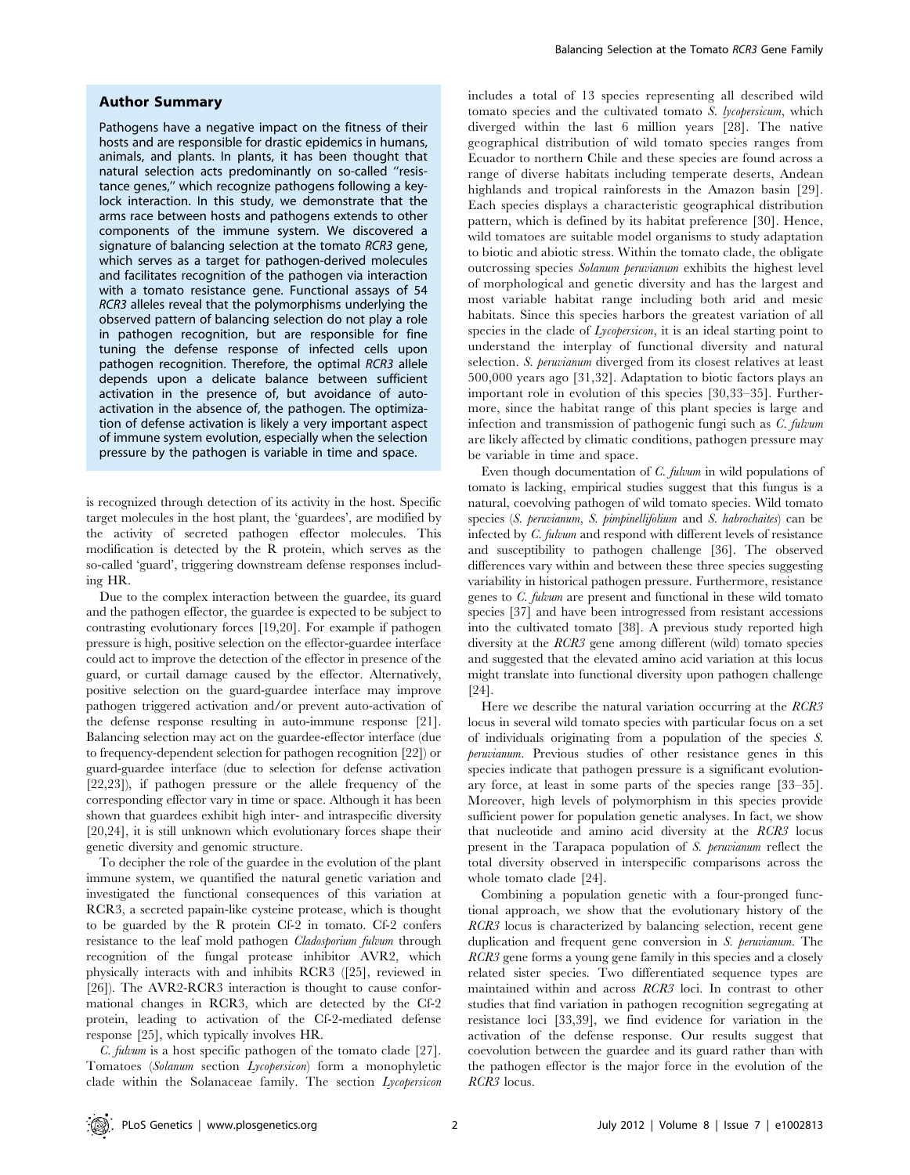## Author Summary

Pathogens have a negative impact on the fitness of their hosts and are responsible for drastic epidemics in humans, animals, and plants. In plants, it has been thought that natural selection acts predominantly on so-called ''resistance genes,'' which recognize pathogens following a keylock interaction. In this study, we demonstrate that the arms race between hosts and pathogens extends to other components of the immune system. We discovered a signature of balancing selection at the tomato RCR3 gene, which serves as a target for pathogen-derived molecules and facilitates recognition of the pathogen via interaction with a tomato resistance gene. Functional assays of 54 RCR3 alleles reveal that the polymorphisms underlying the observed pattern of balancing selection do not play a role in pathogen recognition, but are responsible for fine tuning the defense response of infected cells upon pathogen recognition. Therefore, the optimal RCR3 allele depends upon a delicate balance between sufficient activation in the presence of, but avoidance of autoactivation in the absence of, the pathogen. The optimization of defense activation is likely a very important aspect of immune system evolution, especially when the selection pressure by the pathogen is variable in time and space.

is recognized through detection of its activity in the host. Specific target molecules in the host plant, the 'guardees', are modified by the activity of secreted pathogen effector molecules. This modification is detected by the R protein, which serves as the so-called 'guard', triggering downstream defense responses including HR.

Due to the complex interaction between the guardee, its guard and the pathogen effector, the guardee is expected to be subject to contrasting evolutionary forces [19,20]. For example if pathogen pressure is high, positive selection on the effector-guardee interface could act to improve the detection of the effector in presence of the guard, or curtail damage caused by the effector. Alternatively, positive selection on the guard-guardee interface may improve pathogen triggered activation and/or prevent auto-activation of the defense response resulting in auto-immune response [21]. Balancing selection may act on the guardee-effector interface (due to frequency-dependent selection for pathogen recognition [22]) or guard-guardee interface (due to selection for defense activation [22,23]), if pathogen pressure or the allele frequency of the corresponding effector vary in time or space. Although it has been shown that guardees exhibit high inter- and intraspecific diversity [20,24], it is still unknown which evolutionary forces shape their genetic diversity and genomic structure.

To decipher the role of the guardee in the evolution of the plant immune system, we quantified the natural genetic variation and investigated the functional consequences of this variation at RCR3, a secreted papain-like cysteine protease, which is thought to be guarded by the R protein Cf-2 in tomato. Cf-2 confers resistance to the leaf mold pathogen *Cladosporium fulvum* through recognition of the fungal protease inhibitor AVR2, which physically interacts with and inhibits RCR3 ([25], reviewed in [26]). The AVR2-RCR3 interaction is thought to cause conformational changes in RCR3, which are detected by the Cf-2 protein, leading to activation of the Cf-2-mediated defense response [25], which typically involves HR.

C. fulvum is a host specific pathogen of the tomato clade [27]. Tomatoes (Solanum section Lycopersicon) form a monophyletic clade within the Solanaceae family. The section Lycopersicon includes a total of 13 species representing all described wild tomato species and the cultivated tomato S. lycopersicum, which diverged within the last 6 million years [28]. The native geographical distribution of wild tomato species ranges from Ecuador to northern Chile and these species are found across a range of diverse habitats including temperate deserts, Andean highlands and tropical rainforests in the Amazon basin [29]. Each species displays a characteristic geographical distribution pattern, which is defined by its habitat preference [30]. Hence, wild tomatoes are suitable model organisms to study adaptation to biotic and abiotic stress. Within the tomato clade, the obligate outcrossing species Solanum peruvianum exhibits the highest level of morphological and genetic diversity and has the largest and most variable habitat range including both arid and mesic habitats. Since this species harbors the greatest variation of all species in the clade of Lycopersicon, it is an ideal starting point to understand the interplay of functional diversity and natural selection. S. peruvianum diverged from its closest relatives at least 500,000 years ago [31,32]. Adaptation to biotic factors plays an important role in evolution of this species [30,33–35]. Furthermore, since the habitat range of this plant species is large and infection and transmission of pathogenic fungi such as C. fulvum are likely affected by climatic conditions, pathogen pressure may be variable in time and space.

Even though documentation of C. fulvum in wild populations of tomato is lacking, empirical studies suggest that this fungus is a natural, coevolving pathogen of wild tomato species. Wild tomato species (S. peruvianum, S. pimpinellifolium and S. habrochaites) can be infected by C. fulvum and respond with different levels of resistance and susceptibility to pathogen challenge [36]. The observed differences vary within and between these three species suggesting variability in historical pathogen pressure. Furthermore, resistance genes to C. fulvum are present and functional in these wild tomato species [37] and have been introgressed from resistant accessions into the cultivated tomato [38]. A previous study reported high diversity at the RCR3 gene among different (wild) tomato species and suggested that the elevated amino acid variation at this locus might translate into functional diversity upon pathogen challenge [24].

Here we describe the natural variation occurring at the RCR3 locus in several wild tomato species with particular focus on a set of individuals originating from a population of the species S. peruvianum. Previous studies of other resistance genes in this species indicate that pathogen pressure is a significant evolutionary force, at least in some parts of the species range [33–35]. Moreover, high levels of polymorphism in this species provide sufficient power for population genetic analyses. In fact, we show that nucleotide and amino acid diversity at the RCR3 locus present in the Tarapaca population of S. peruvianum reflect the total diversity observed in interspecific comparisons across the whole tomato clade [24].

Combining a population genetic with a four-pronged functional approach, we show that the evolutionary history of the RCR3 locus is characterized by balancing selection, recent gene duplication and frequent gene conversion in S. peruvianum. The RCR3 gene forms a young gene family in this species and a closely related sister species. Two differentiated sequence types are maintained within and across RCR3 loci. In contrast to other studies that find variation in pathogen recognition segregating at resistance loci [33,39], we find evidence for variation in the activation of the defense response. Our results suggest that coevolution between the guardee and its guard rather than with the pathogen effector is the major force in the evolution of the RCR3 locus.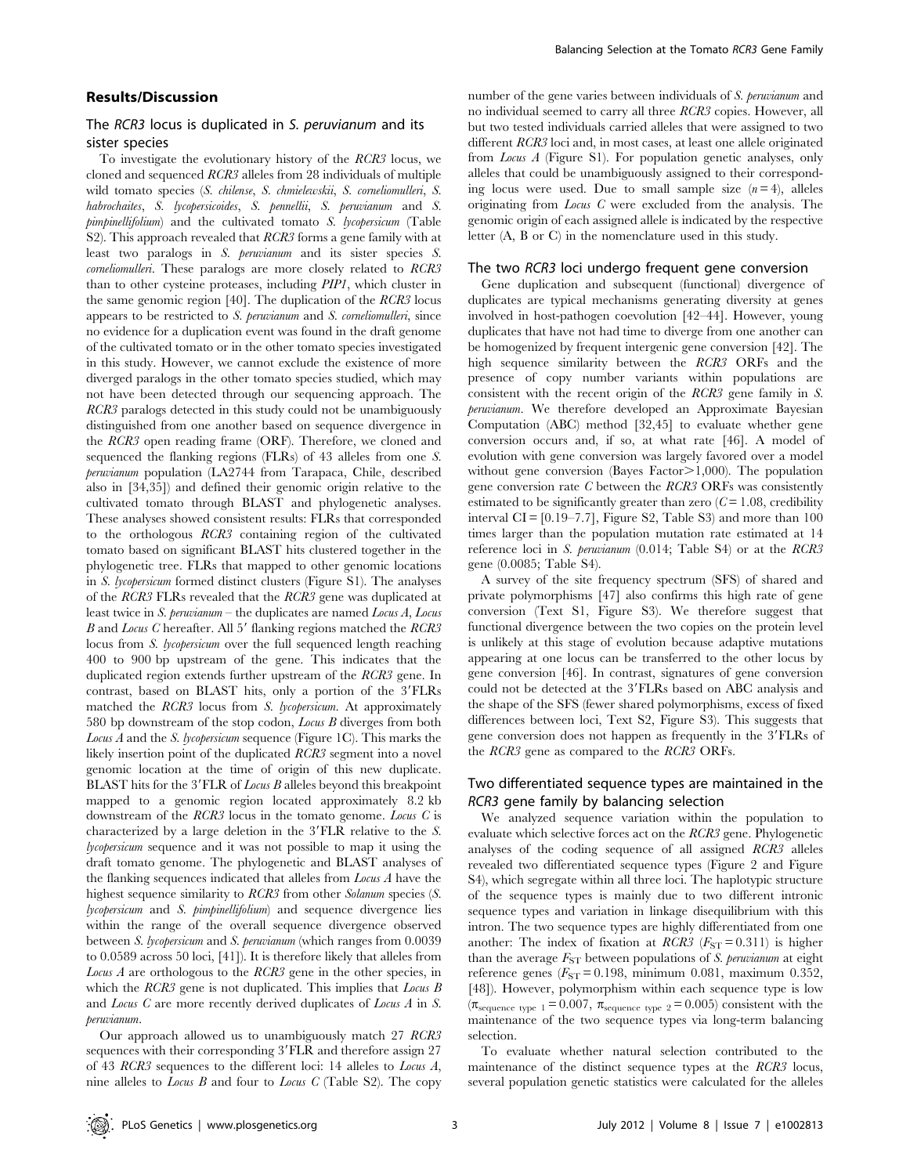# Results/Discussion

# The RCR3 locus is duplicated in S. peruvianum and its sister species

To investigate the evolutionary history of the RCR3 locus, we cloned and sequenced RCR3 alleles from 28 individuals of multiple wild tomato species (S. chilense, S. chmielewskii, S. corneliomulleri, S. habrochaites, S. lycopersicoides, S. pennellii, S. peruvianum and S. pimpinellifolium) and the cultivated tomato S. lycopersicum (Table S2). This approach revealed that RCR3 forms a gene family with at least two paralogs in S. peruvianum and its sister species S. corneliomulleri. These paralogs are more closely related to RCR3 than to other cysteine proteases, including PIP1, which cluster in the same genomic region [40]. The duplication of the RCR3 locus appears to be restricted to S. peruvianum and S. corneliomulleri, since no evidence for a duplication event was found in the draft genome of the cultivated tomato or in the other tomato species investigated in this study. However, we cannot exclude the existence of more diverged paralogs in the other tomato species studied, which may not have been detected through our sequencing approach. The RCR3 paralogs detected in this study could not be unambiguously distinguished from one another based on sequence divergence in the RCR3 open reading frame (ORF). Therefore, we cloned and sequenced the flanking regions (FLRs) of 43 alleles from one S. peruvianum population (LA2744 from Tarapaca, Chile, described also in [34,35]) and defined their genomic origin relative to the cultivated tomato through BLAST and phylogenetic analyses. These analyses showed consistent results: FLRs that corresponded to the orthologous RCR3 containing region of the cultivated tomato based on significant BLAST hits clustered together in the phylogenetic tree. FLRs that mapped to other genomic locations in S. lycopersicum formed distinct clusters (Figure S1). The analyses of the RCR3 FLRs revealed that the RCR3 gene was duplicated at least twice in S. peruvianum – the duplicates are named  $Locus A$ , Locus  $B$  and Locus C hereafter. All 5' flanking regions matched the  $RCR3$ locus from S. lycopersicum over the full sequenced length reaching 400 to 900 bp upstream of the gene. This indicates that the duplicated region extends further upstream of the RCR3 gene. In contrast, based on BLAST hits, only a portion of the 3'FLRs matched the RCR3 locus from S. lycopersicum. At approximately 580 bp downstream of the stop codon, Locus B diverges from both Locus A and the S. lycopersicum sequence (Figure 1C). This marks the likely insertion point of the duplicated RCR3 segment into a novel genomic location at the time of origin of this new duplicate. BLAST hits for the  $3'$ FLR of Locus B alleles beyond this breakpoint mapped to a genomic region located approximately 8.2 kb downstream of the RCR3 locus in the tomato genome. Locus C is characterized by a large deletion in the  $3'FLR$  relative to the S. lycopersicum sequence and it was not possible to map it using the draft tomato genome. The phylogenetic and BLAST analyses of the flanking sequences indicated that alleles from Locus A have the highest sequence similarity to *RCR3* from other *Solanum* species (*S.*) lycopersicum and S. pimpinellifolium) and sequence divergence lies within the range of the overall sequence divergence observed between S. lycopersicum and S. peruvianum (which ranges from 0.0039 to 0.0589 across 50 loci, [41]). It is therefore likely that alleles from Locus A are orthologous to the RCR3 gene in the other species, in which the RCR3 gene is not duplicated. This implies that Locus B and Locus C are more recently derived duplicates of Locus A in S. peruvianum.

Our approach allowed us to unambiguously match 27 RCR3 sequences with their corresponding 3'FLR and therefore assign 27 of 43 RCR3 sequences to the different loci: 14 alleles to Locus A, nine alleles to *Locus B* and four to *Locus C* (Table S2). The copy

number of the gene varies between individuals of S. peruvianum and no individual seemed to carry all three RCR3 copies. However, all but two tested individuals carried alleles that were assigned to two different RCR3 loci and, in most cases, at least one allele originated from Locus A (Figure S1). For population genetic analyses, only alleles that could be unambiguously assigned to their corresponding locus were used. Due to small sample size  $(n=4)$ , alleles originating from Locus C were excluded from the analysis. The genomic origin of each assigned allele is indicated by the respective letter (A, B or C) in the nomenclature used in this study.

#### The two RCR3 loci undergo frequent gene conversion

Gene duplication and subsequent (functional) divergence of duplicates are typical mechanisms generating diversity at genes involved in host-pathogen coevolution [42–44]. However, young duplicates that have not had time to diverge from one another can be homogenized by frequent intergenic gene conversion [42]. The high sequence similarity between the RCR3 ORFs and the presence of copy number variants within populations are consistent with the recent origin of the RCR3 gene family in S. peruvianum. We therefore developed an Approximate Bayesian Computation (ABC) method [32,45] to evaluate whether gene conversion occurs and, if so, at what rate [46]. A model of evolution with gene conversion was largely favored over a model without gene conversion (Bayes Factor $>1,000$ ). The population gene conversion rate  $C$  between the  $RCR3$  ORFs was consistently estimated to be significantly greater than zero  $(C=1.08, \text{credibility})$ interval  $CI = [0.19-7.7]$ , Figure S2, Table S3) and more than 100 times larger than the population mutation rate estimated at 14 reference loci in S. peruvianum (0.014; Table S4) or at the RCR3 gene (0.0085; Table S4).

A survey of the site frequency spectrum (SFS) of shared and private polymorphisms [47] also confirms this high rate of gene conversion (Text S1, Figure S3). We therefore suggest that functional divergence between the two copies on the protein level is unlikely at this stage of evolution because adaptive mutations appearing at one locus can be transferred to the other locus by gene conversion [46]. In contrast, signatures of gene conversion could not be detected at the 3'FLRs based on ABC analysis and the shape of the SFS (fewer shared polymorphisms, excess of fixed differences between loci, Text S2, Figure S3). This suggests that gene conversion does not happen as frequently in the 3'FLRs of the RCR3 gene as compared to the RCR3 ORFs.

# Two differentiated sequence types are maintained in the RCR3 gene family by balancing selection

We analyzed sequence variation within the population to evaluate which selective forces act on the RCR3 gene. Phylogenetic analyses of the coding sequence of all assigned RCR3 alleles revealed two differentiated sequence types (Figure 2 and Figure S4), which segregate within all three loci. The haplotypic structure of the sequence types is mainly due to two different intronic sequence types and variation in linkage disequilibrium with this intron. The two sequence types are highly differentiated from one another: The index of fixation at *RCR3* ( $F_{ST} = 0.311$ ) is higher than the average  $F_{ST}$  between populations of S. *peruvianum* at eight reference genes ( $F_{ST}$  = 0.198, minimum 0.081, maximum 0.352, [48]). However, polymorphism within each sequence type is low  $(\pi_{\text{sequence type 1}} = 0.007, \pi_{\text{sequence type 2}} = 0.005)$  consistent with the maintenance of the two sequence types via long-term balancing selection.

To evaluate whether natural selection contributed to the maintenance of the distinct sequence types at the RCR3 locus, several population genetic statistics were calculated for the alleles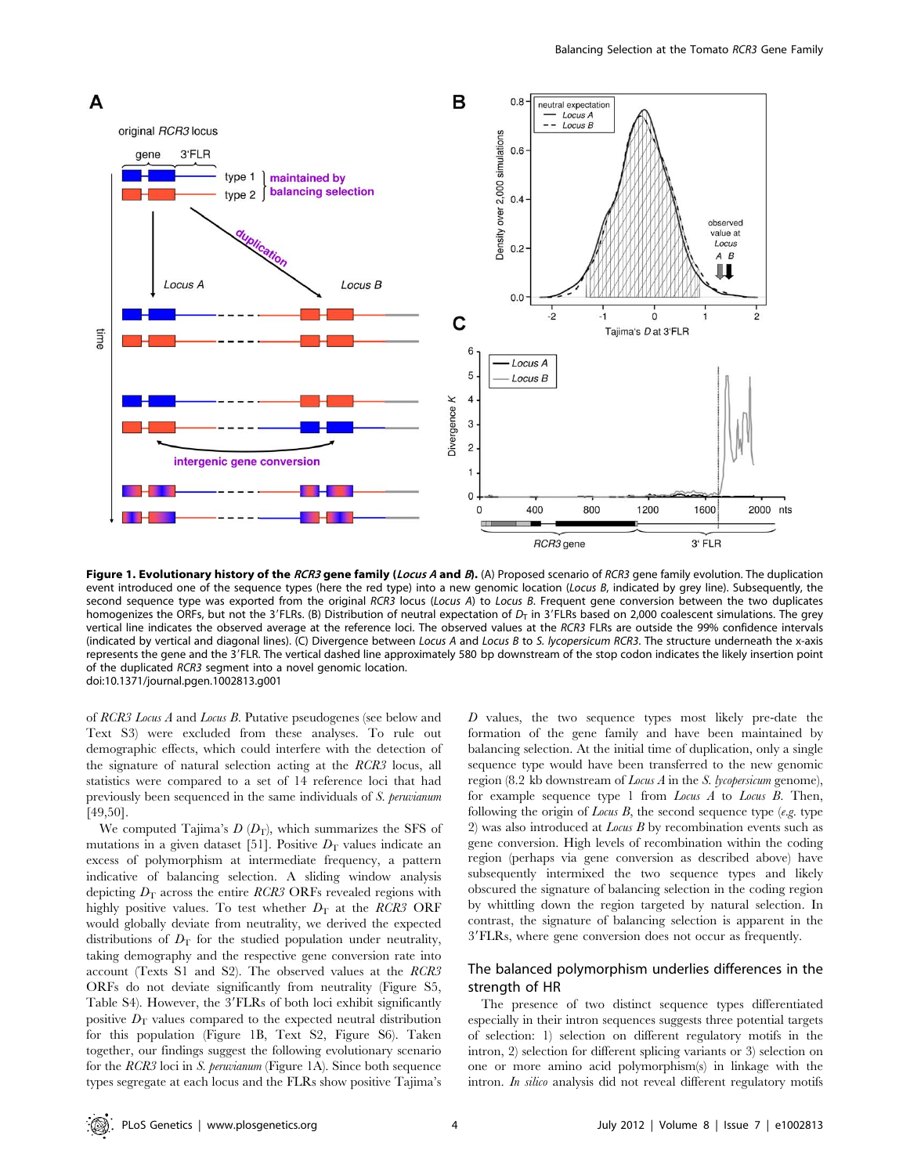

Figure 1. Evolutionary history of the RCR3 gene family (Locus A and B). (A) Proposed scenario of RCR3 gene family evolution. The duplication event introduced one of the sequence types (here the red type) into a new genomic location (Locus B, indicated by grey line). Subsequently, the second sequence type was exported from the original RCR3 locus (Locus A) to Locus B. Frequent gene conversion between the two duplicates homogenizes the ORFs, but not the 3'FLRs. (B) Distribution of neutral expectation of  $D<sub>T</sub>$  in 3'FLRs based on 2,000 coalescent simulations. The grey vertical line indicates the observed average at the reference loci. The observed values at the RCR3 FLRs are outside the 99% confidence intervals (indicated by vertical and diagonal lines). (C) Divergence between Locus A and Locus B to S. lycopersicum RCR3. The structure underneath the x-axis represents the gene and the 3'FLR. The vertical dashed line approximately 580 bp downstream of the stop codon indicates the likely insertion point of the duplicated RCR3 segment into a novel genomic location. doi:10.1371/journal.pgen.1002813.g001

of RCR3 Locus A and Locus B. Putative pseudogenes (see below and Text S3) were excluded from these analyses. To rule out demographic effects, which could interfere with the detection of the signature of natural selection acting at the RCR3 locus, all statistics were compared to a set of 14 reference loci that had previously been sequenced in the same individuals of S. peruvianum [49,50].

We computed Tajima's  $D(D_T)$ , which summarizes the SFS of mutations in a given dataset [51]. Positive  $D<sub>T</sub>$  values indicate an excess of polymorphism at intermediate frequency, a pattern indicative of balancing selection. A sliding window analysis depicting  $D_T$  across the entire RCR3 ORFs revealed regions with highly positive values. To test whether  $D_T$  at the RCR3 ORF would globally deviate from neutrality, we derived the expected distributions of  $D_T$  for the studied population under neutrality, taking demography and the respective gene conversion rate into account (Texts S1 and S2). The observed values at the RCR3 ORFs do not deviate significantly from neutrality (Figure S5, Table S4). However, the 3'FLRs of both loci exhibit significantly positive  $D<sub>T</sub>$  values compared to the expected neutral distribution for this population (Figure 1B, Text S2, Figure S6). Taken together, our findings suggest the following evolutionary scenario for the RCR3 loci in S. peruvianum (Figure 1A). Since both sequence types segregate at each locus and the FLRs show positive Tajima's D values, the two sequence types most likely pre-date the formation of the gene family and have been maintained by balancing selection. At the initial time of duplication, only a single sequence type would have been transferred to the new genomic region  $(8.2 \text{ kb}$  downstream of Locus A in the S. lycopersicum genome), for example sequence type 1 from  $Locus A$  to  $Locus B$ . Then, following the origin of Locus B, the second sequence type  $(e.g.$  type 2) was also introduced at  $Locus$  B by recombination events such as gene conversion. High levels of recombination within the coding region (perhaps via gene conversion as described above) have subsequently intermixed the two sequence types and likely obscured the signature of balancing selection in the coding region by whittling down the region targeted by natural selection. In contrast, the signature of balancing selection is apparent in the  $3'FLRs$ , where gene conversion does not occur as frequently.

# The balanced polymorphism underlies differences in the strength of HR

The presence of two distinct sequence types differentiated especially in their intron sequences suggests three potential targets of selection: 1) selection on different regulatory motifs in the intron, 2) selection for different splicing variants or 3) selection on one or more amino acid polymorphism(s) in linkage with the intron. In silico analysis did not reveal different regulatory motifs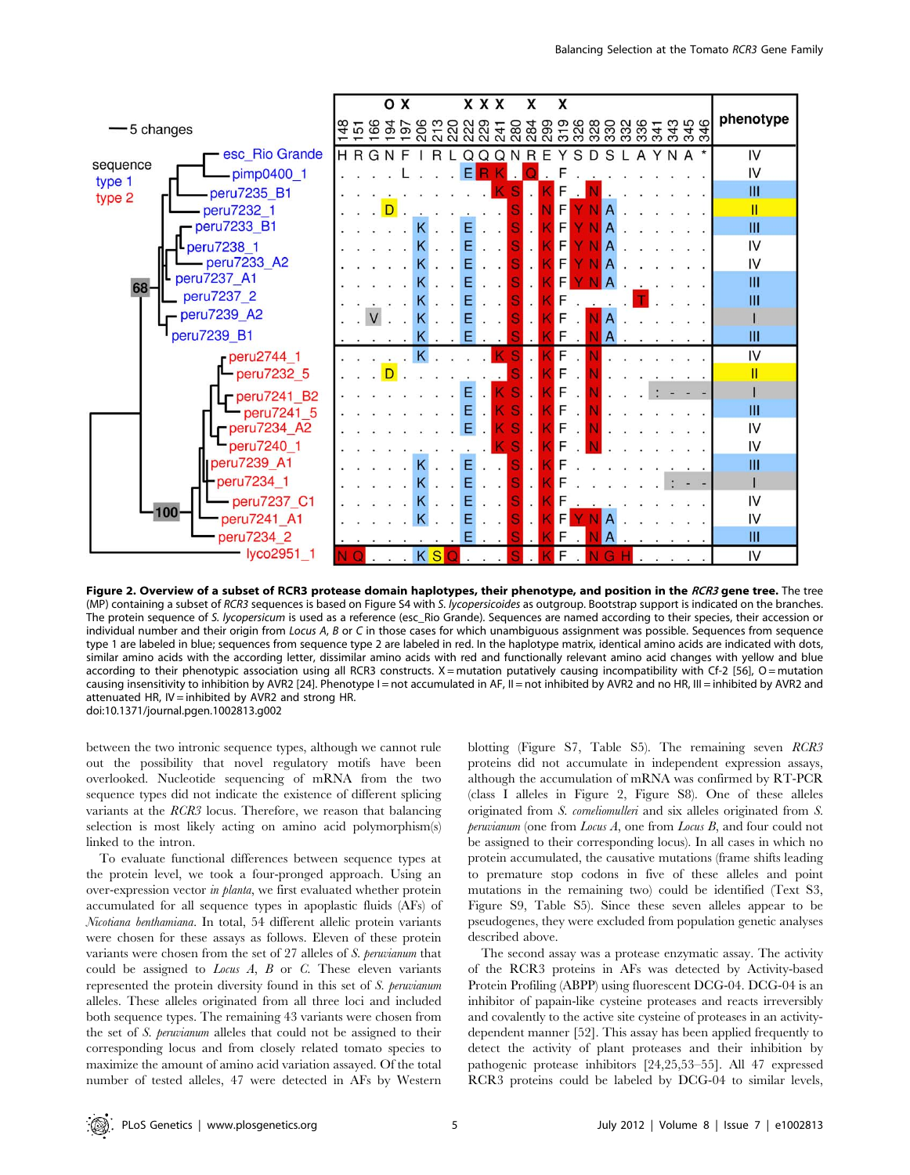

Figure 2. Overview of a subset of RCR3 protease domain haplotypes, their phenotype, and position in the RCR3 gene tree. The tree (MP) containing a subset of RCR3 sequences is based on Figure S4 with S. lycopersicoides as outgroup. Bootstrap support is indicated on the branches. The protein sequence of S. lycopersicum is used as a reference (esc\_Rio Grande). Sequences are named according to their species, their accession or individual number and their origin from Locus A, B or C in those cases for which unambiguous assignment was possible. Sequences from sequence type 1 are labeled in blue; sequences from sequence type 2 are labeled in red. In the haplotype matrix, identical amino acids are indicated with dots, similar amino acids with the according letter, dissimilar amino acids with red and functionally relevant amino acid changes with yellow and blue according to their phenotypic association using all RCR3 constructs. X = mutation putatively causing incompatibility with Cf-2 [56], O = mutation causing insensitivity to inhibition by AVR2 [24]. Phenotype I = not accumulated in AF, II = not inhibited by AVR2 and no HR, III = inhibited by AVR2 and attenuated HR,  $IV =$  inhibited by AVR2 and strong HR. doi:10.1371/journal.pgen.1002813.g002

between the two intronic sequence types, although we cannot rule out the possibility that novel regulatory motifs have been overlooked. Nucleotide sequencing of mRNA from the two sequence types did not indicate the existence of different splicing variants at the RCR3 locus. Therefore, we reason that balancing selection is most likely acting on amino acid polymorphism(s) linked to the intron.

To evaluate functional differences between sequence types at the protein level, we took a four-pronged approach. Using an over-expression vector in planta, we first evaluated whether protein accumulated for all sequence types in apoplastic fluids (AFs) of Nicotiana benthamiana. In total, 54 different allelic protein variants were chosen for these assays as follows. Eleven of these protein variants were chosen from the set of 27 alleles of S. peruvianum that could be assigned to *Locus A*,  $B$  or  $C$ . These eleven variants represented the protein diversity found in this set of S. peruvianum alleles. These alleles originated from all three loci and included both sequence types. The remaining 43 variants were chosen from the set of S. peruvianum alleles that could not be assigned to their corresponding locus and from closely related tomato species to maximize the amount of amino acid variation assayed. Of the total number of tested alleles, 47 were detected in AFs by Western blotting (Figure S7, Table S5). The remaining seven RCR3 proteins did not accumulate in independent expression assays, although the accumulation of mRNA was confirmed by RT-PCR (class I alleles in Figure 2, Figure S8). One of these alleles originated from S. corneliomulleri and six alleles originated from S. peruvianum (one from Locus A, one from Locus B, and four could not be assigned to their corresponding locus). In all cases in which no protein accumulated, the causative mutations (frame shifts leading to premature stop codons in five of these alleles and point mutations in the remaining two) could be identified (Text S3, Figure S9, Table S5). Since these seven alleles appear to be pseudogenes, they were excluded from population genetic analyses described above.

The second assay was a protease enzymatic assay. The activity of the RCR3 proteins in AFs was detected by Activity-based Protein Profiling (ABPP) using fluorescent DCG-04. DCG-04 is an inhibitor of papain-like cysteine proteases and reacts irreversibly and covalently to the active site cysteine of proteases in an activitydependent manner [52]. This assay has been applied frequently to detect the activity of plant proteases and their inhibition by pathogenic protease inhibitors [24,25,53–55]. All 47 expressed RCR3 proteins could be labeled by DCG-04 to similar levels,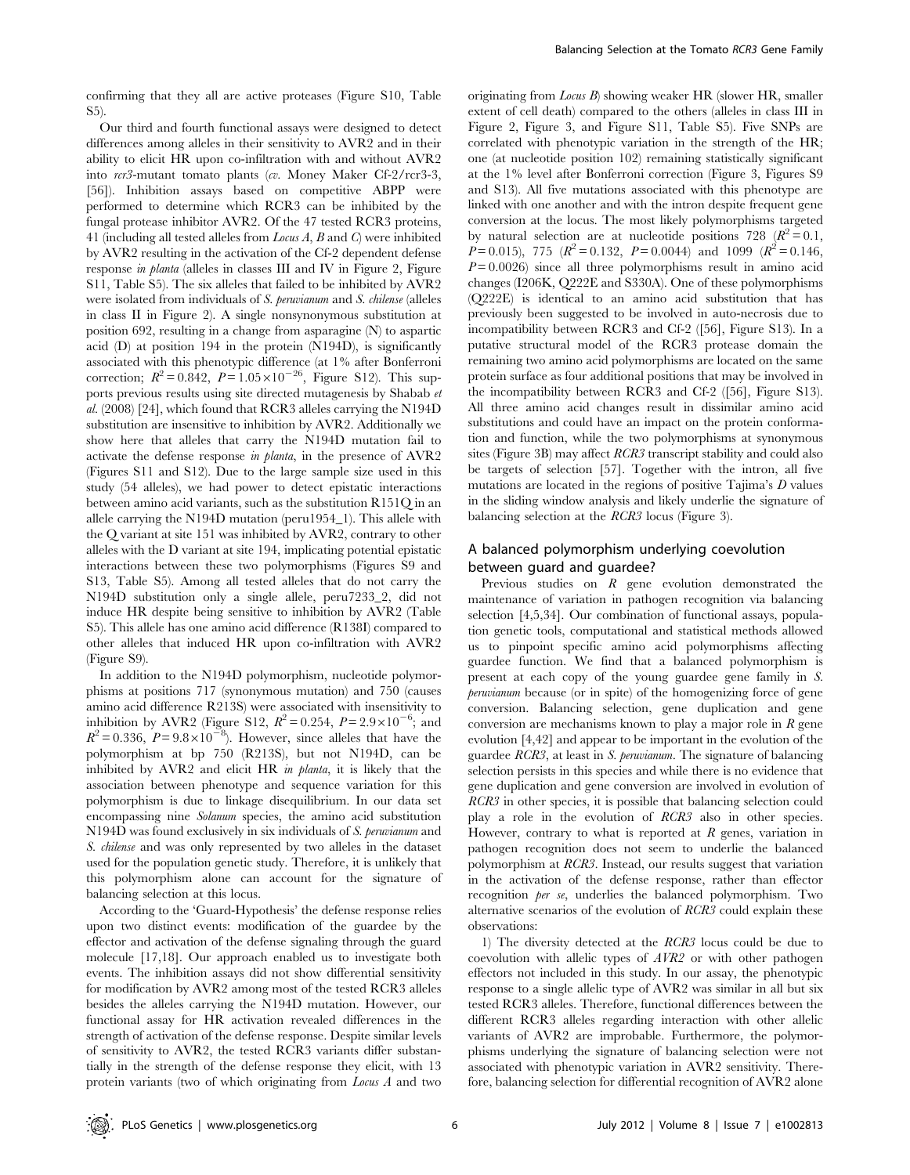confirming that they all are active proteases (Figure S10, Table S5).

Our third and fourth functional assays were designed to detect differences among alleles in their sensitivity to AVR2 and in their ability to elicit HR upon co-infiltration with and without AVR2 into rcr3-mutant tomato plants (cv. Money Maker Cf-2/rcr3-3, [56]). Inhibition assays based on competitive ABPP were performed to determine which RCR3 can be inhibited by the fungal protease inhibitor AVR2. Of the 47 tested RCR3 proteins, 41 (including all tested alleles from Locus A, B and C) were inhibited by AVR2 resulting in the activation of the Cf-2 dependent defense response in planta (alleles in classes III and IV in Figure 2, Figure S11, Table S5). The six alleles that failed to be inhibited by AVR2 were isolated from individuals of S. peruvianum and S. chilense (alleles in class II in Figure 2). A single nonsynonymous substitution at position 692, resulting in a change from asparagine (N) to aspartic acid (D) at position 194 in the protein (N194D), is significantly associated with this phenotypic difference (at 1% after Bonferroni correction;  $R^2 = 0.842$ ,  $P = 1.05 \times 10^{-26}$ , Figure S12). This supports previous results using site directed mutagenesis by Shabab et al. (2008) [24], which found that RCR3 alleles carrying the N194D substitution are insensitive to inhibition by AVR2. Additionally we show here that alleles that carry the N194D mutation fail to activate the defense response in planta, in the presence of AVR2 (Figures S11 and S12). Due to the large sample size used in this study (54 alleles), we had power to detect epistatic interactions between amino acid variants, such as the substitution R151Q in an allele carrying the N194D mutation (peru1954\_1). This allele with the Q variant at site 151 was inhibited by AVR2, contrary to other alleles with the D variant at site 194, implicating potential epistatic interactions between these two polymorphisms (Figures S9 and S13, Table S5). Among all tested alleles that do not carry the N194D substitution only a single allele, peru7233\_2, did not induce HR despite being sensitive to inhibition by AVR2 (Table S5). This allele has one amino acid difference (R138I) compared to other alleles that induced HR upon co-infiltration with AVR2 (Figure S9).

In addition to the N194D polymorphism, nucleotide polymorphisms at positions 717 (synonymous mutation) and 750 (causes amino acid difference R213S) were associated with insensitivity to inhibition by AVR2 (Figure S12,  $R^2 = 0.254$ ,  $P = 2.9 \times 10^{-6}$ ; and  $R^2 = 0.336$ ,  $P = 9.8 \times 10^{-8}$ . However, since alleles that have the polymorphism at bp 750 (R213S), but not N194D, can be inhibited by AVR2 and elicit HR in planta, it is likely that the association between phenotype and sequence variation for this polymorphism is due to linkage disequilibrium. In our data set encompassing nine Solanum species, the amino acid substitution N194D was found exclusively in six individuals of S. peruvianum and S. chilense and was only represented by two alleles in the dataset used for the population genetic study. Therefore, it is unlikely that this polymorphism alone can account for the signature of balancing selection at this locus.

According to the 'Guard-Hypothesis' the defense response relies upon two distinct events: modification of the guardee by the effector and activation of the defense signaling through the guard molecule [17,18]. Our approach enabled us to investigate both events. The inhibition assays did not show differential sensitivity for modification by AVR2 among most of the tested RCR3 alleles besides the alleles carrying the N194D mutation. However, our functional assay for HR activation revealed differences in the strength of activation of the defense response. Despite similar levels of sensitivity to AVR2, the tested RCR3 variants differ substantially in the strength of the defense response they elicit, with 13 protein variants (two of which originating from Locus A and two

originating from Locus B) showing weaker HR (slower HR, smaller extent of cell death) compared to the others (alleles in class III in Figure 2, Figure 3, and Figure S11, Table S5). Five SNPs are correlated with phenotypic variation in the strength of the HR; one (at nucleotide position 102) remaining statistically significant at the 1% level after Bonferroni correction (Figure 3, Figures S9 and S13). All five mutations associated with this phenotype are linked with one another and with the intron despite frequent gene conversion at the locus. The most likely polymorphisms targeted by natural selection are at nucleotide positions 728 ( $R^2 = 0.1$ ,  $P = 0.015$ , 775 ( $R^2 = 0.132$ ,  $P = 0.0044$ ) and 1099 ( $R^2 = 0.146$ ,  $P=0.0026$ ) since all three polymorphisms result in amino acid changes (I206K, Q222E and S330A). One of these polymorphisms (Q222E) is identical to an amino acid substitution that has previously been suggested to be involved in auto-necrosis due to incompatibility between RCR3 and Cf-2 ([56], Figure S13). In a putative structural model of the RCR3 protease domain the remaining two amino acid polymorphisms are located on the same protein surface as four additional positions that may be involved in the incompatibility between RCR3 and Cf-2 ([56], Figure S13). All three amino acid changes result in dissimilar amino acid substitutions and could have an impact on the protein conformation and function, while the two polymorphisms at synonymous sites (Figure 3B) may affect RCR3 transcript stability and could also be targets of selection [57]. Together with the intron, all five mutations are located in the regions of positive Tajima's D values in the sliding window analysis and likely underlie the signature of balancing selection at the RCR3 locus (Figure 3).

# A balanced polymorphism underlying coevolution between guard and guardee?

Previous studies on  $R$  gene evolution demonstrated the maintenance of variation in pathogen recognition via balancing selection [4,5,34]. Our combination of functional assays, population genetic tools, computational and statistical methods allowed us to pinpoint specific amino acid polymorphisms affecting guardee function. We find that a balanced polymorphism is present at each copy of the young guardee gene family in S. peruvianum because (or in spite) of the homogenizing force of gene conversion. Balancing selection, gene duplication and gene conversion are mechanisms known to play a major role in  $R$  gene evolution [4,42] and appear to be important in the evolution of the guardee RCR3, at least in S. peruvianum. The signature of balancing selection persists in this species and while there is no evidence that gene duplication and gene conversion are involved in evolution of RCR3 in other species, it is possible that balancing selection could play a role in the evolution of RCR3 also in other species. However, contrary to what is reported at  $R$  genes, variation in pathogen recognition does not seem to underlie the balanced polymorphism at RCR3. Instead, our results suggest that variation in the activation of the defense response, rather than effector recognition *per se*, underlies the balanced polymorphism. Two alternative scenarios of the evolution of RCR3 could explain these observations:

1) The diversity detected at the RCR3 locus could be due to coevolution with allelic types of AVR2 or with other pathogen effectors not included in this study. In our assay, the phenotypic response to a single allelic type of AVR2 was similar in all but six tested RCR3 alleles. Therefore, functional differences between the different RCR3 alleles regarding interaction with other allelic variants of AVR2 are improbable. Furthermore, the polymorphisms underlying the signature of balancing selection were not associated with phenotypic variation in AVR2 sensitivity. Therefore, balancing selection for differential recognition of AVR2 alone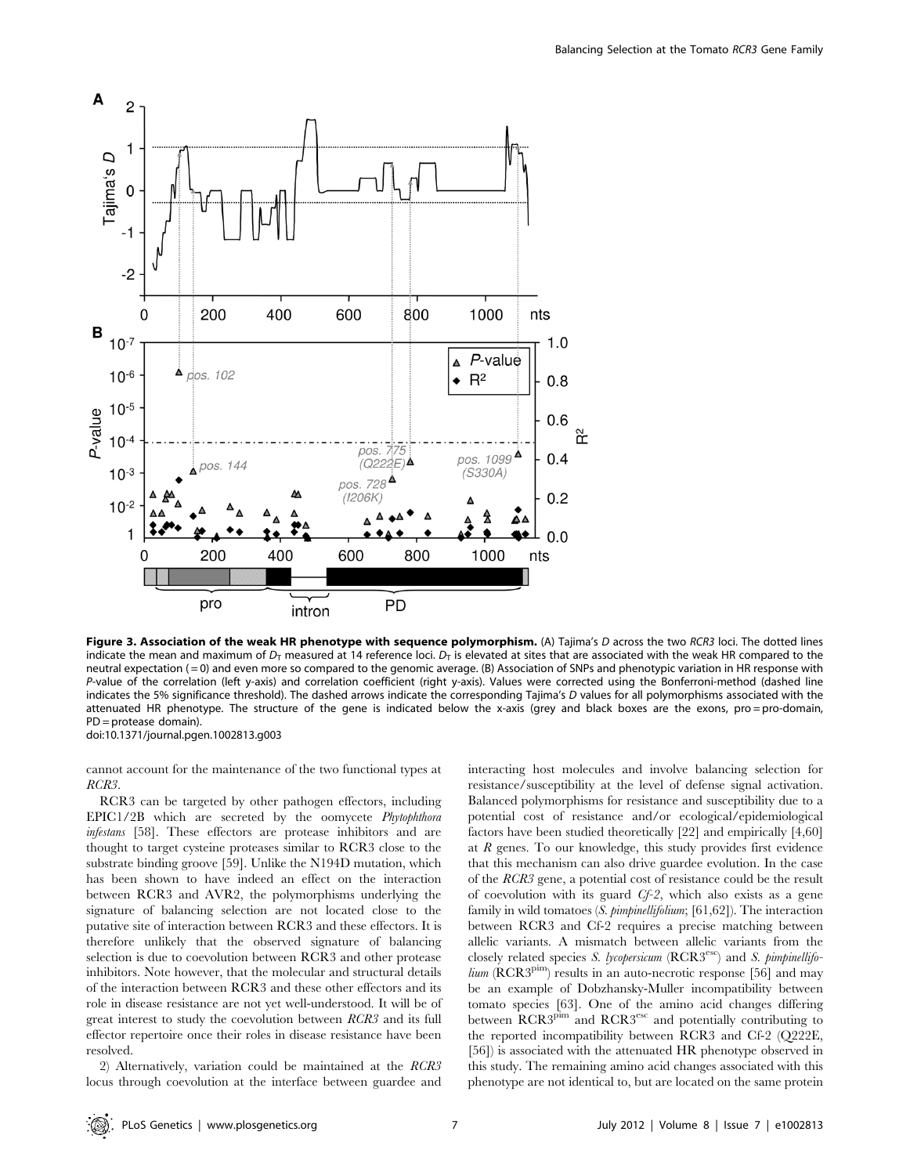

Figure 3. Association of the weak HR phenotype with sequence polymorphism. (A) Tajima's D across the two RCR3 loci. The dotted lines indicate the mean and maximum of  $D_T$  measured at 14 reference loci.  $D_T$  is elevated at sites that are associated with the weak HR compared to the neutral expectation (=0) and even more so compared to the genomic average. (B) Association of SNPs and phenotypic variation in HR response with P-value of the correlation (left y-axis) and correlation coefficient (right y-axis). Values were corrected using the Bonferroni-method (dashed line indicates the 5% significance threshold). The dashed arrows indicate the corresponding Tajima's D values for all polymorphisms associated with the attenuated HR phenotype. The structure of the gene is indicated below the x-axis (grey and black boxes are the exons, pro = pro-domain, PD = protease domain). doi:10.1371/journal.pgen.1002813.g003

cannot account for the maintenance of the two functional types at RCR3.

RCR3 can be targeted by other pathogen effectors, including EPIC1/2B which are secreted by the oomycete Phytophthora infestans [58]. These effectors are protease inhibitors and are thought to target cysteine proteases similar to RCR3 close to the substrate binding groove [59]. Unlike the N194D mutation, which has been shown to have indeed an effect on the interaction between RCR3 and AVR2, the polymorphisms underlying the signature of balancing selection are not located close to the putative site of interaction between RCR3 and these effectors. It is therefore unlikely that the observed signature of balancing selection is due to coevolution between RCR3 and other protease inhibitors. Note however, that the molecular and structural details of the interaction between RCR3 and these other effectors and its role in disease resistance are not yet well-understood. It will be of great interest to study the coevolution between RCR3 and its full effector repertoire once their roles in disease resistance have been resolved.

2) Alternatively, variation could be maintained at the RCR3 locus through coevolution at the interface between guardee and interacting host molecules and involve balancing selection for resistance/susceptibility at the level of defense signal activation. Balanced polymorphisms for resistance and susceptibility due to a potential cost of resistance and/or ecological/epidemiological factors have been studied theoretically [22] and empirically [4,60] at  $R$  genes. To our knowledge, this study provides first evidence that this mechanism can also drive guardee evolution. In the case of the RCR3 gene, a potential cost of resistance could be the result of coevolution with its guard Cf-2, which also exists as a gene family in wild tomatoes (S. pimpinellifolium; [61,62]). The interaction between RCR3 and Cf-2 requires a precise matching between allelic variants. A mismatch between allelic variants from the closely related species S. lycopersicum (RCR3<sup>esc</sup>) and S. pimpinellifo- $\lim_{m \to \infty}$  (RCR3<sup>pim</sup>) results in an auto-necrotic response [56] and may be an example of Dobzhansky-Muller incompatibility between tomato species [63]. One of the amino acid changes differing between RCR3<sup>pim</sup> and RCR3<sup>esc</sup> and potentially contributing to the reported incompatibility between RCR3 and Cf-2 (Q222E, [56]) is associated with the attenuated HR phenotype observed in this study. The remaining amino acid changes associated with this phenotype are not identical to, but are located on the same protein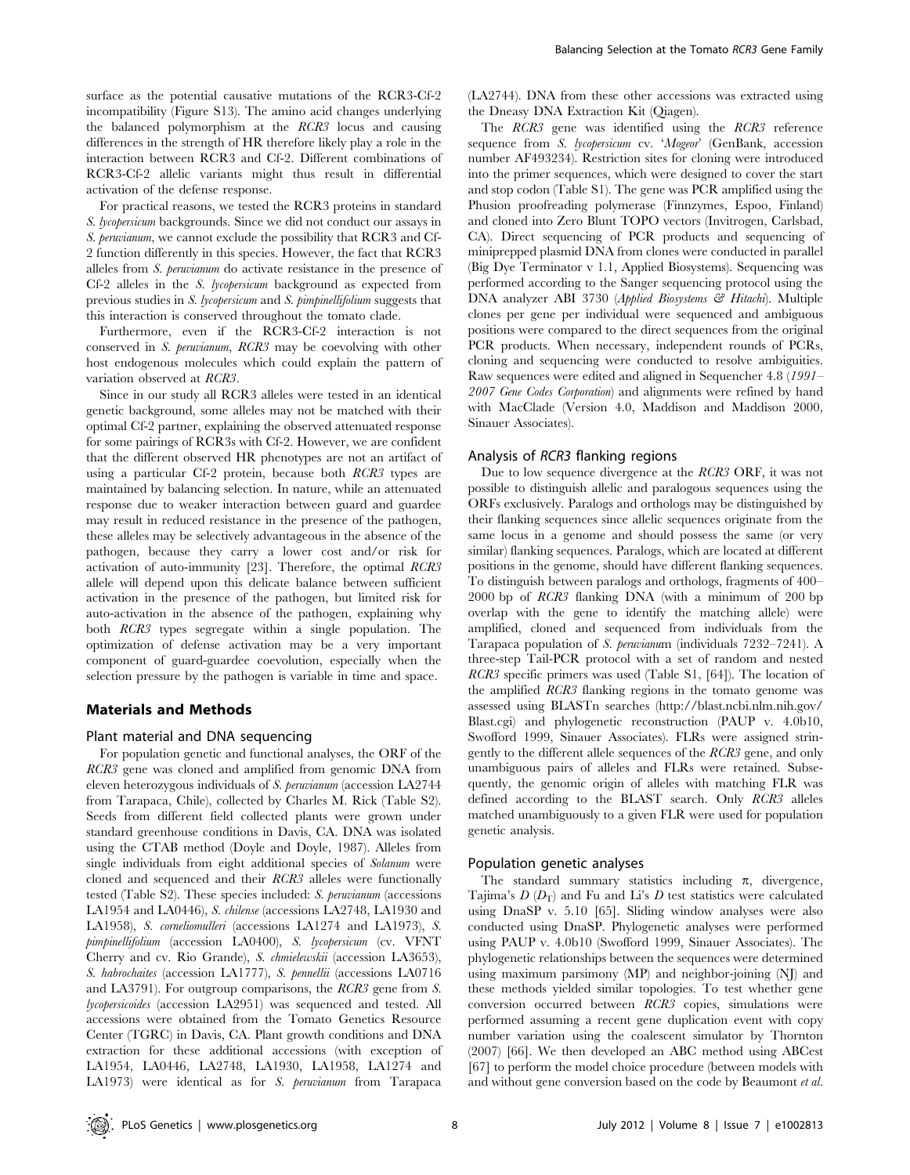surface as the potential causative mutations of the RCR3-Cf-2 incompatibility (Figure S13). The amino acid changes underlying the balanced polymorphism at the RCR3 locus and causing differences in the strength of HR therefore likely play a role in the interaction between RCR3 and Cf-2. Different combinations of RCR3-Cf-2 allelic variants might thus result in differential activation of the defense response.

For practical reasons, we tested the RCR3 proteins in standard S. lycopersicum backgrounds. Since we did not conduct our assays in S. peruvianum, we cannot exclude the possibility that RCR3 and Cf-2 function differently in this species. However, the fact that RCR3 alleles from S. peruvianum do activate resistance in the presence of Cf-2 alleles in the S. lycopersicum background as expected from previous studies in S. lycopersicum and S. pimpinellifolium suggests that this interaction is conserved throughout the tomato clade.

Furthermore, even if the RCR3-Cf-2 interaction is not conserved in S. peruvianum, RCR3 may be coevolving with other host endogenous molecules which could explain the pattern of variation observed at RCR3.

Since in our study all RCR3 alleles were tested in an identical genetic background, some alleles may not be matched with their optimal Cf-2 partner, explaining the observed attenuated response for some pairings of RCR3s with Cf-2. However, we are confident that the different observed HR phenotypes are not an artifact of using a particular Cf-2 protein, because both RCR3 types are maintained by balancing selection. In nature, while an attenuated response due to weaker interaction between guard and guardee may result in reduced resistance in the presence of the pathogen, these alleles may be selectively advantageous in the absence of the pathogen, because they carry a lower cost and/or risk for activation of auto-immunity [23]. Therefore, the optimal RCR3 allele will depend upon this delicate balance between sufficient activation in the presence of the pathogen, but limited risk for auto-activation in the absence of the pathogen, explaining why both RCR3 types segregate within a single population. The optimization of defense activation may be a very important component of guard-guardee coevolution, especially when the selection pressure by the pathogen is variable in time and space.

## Materials and Methods

## Plant material and DNA sequencing

For population genetic and functional analyses, the ORF of the RCR3 gene was cloned and amplified from genomic DNA from eleven heterozygous individuals of S. peruvianum (accession LA2744 from Tarapaca, Chile), collected by Charles M. Rick (Table S2). Seeds from different field collected plants were grown under standard greenhouse conditions in Davis, CA. DNA was isolated using the CTAB method (Doyle and Doyle, 1987). Alleles from single individuals from eight additional species of *Solanum* were cloned and sequenced and their RCR3 alleles were functionally tested (Table S2). These species included: S. peruvianum (accessions LA1954 and LA0446), S. chilense (accessions LA2748, LA1930 and LA1958), S. corneliomulleri (accessions LA1274 and LA1973), S. pimpinellifolium (accession LA0400), S. lycopersicum (cv. VFNT Cherry and cv. Rio Grande), S. chmielewskii (accession LA3653), S. habrochaites (accession LA1777), S. pennellii (accessions LA0716 and LA3791). For outgroup comparisons, the RCR3 gene from S. lycopersicoides (accession LA2951) was sequenced and tested. All accessions were obtained from the Tomato Genetics Resource Center (TGRC) in Davis, CA. Plant growth conditions and DNA extraction for these additional accessions (with exception of LA1954, LA0446, LA2748, LA1930, LA1958, LA1274 and LA1973) were identical as for S. peruvianum from Tarapaca

(LA2744). DNA from these other accessions was extracted using the Dneasy DNA Extraction Kit (Qiagen).

The RCR3 gene was identified using the RCR3 reference sequence from S. lycopersicum cv. 'Mogeor' (GenBank, accession number AF493234). Restriction sites for cloning were introduced into the primer sequences, which were designed to cover the start and stop codon (Table S1). The gene was PCR amplified using the Phusion proofreading polymerase (Finnzymes, Espoo, Finland) and cloned into Zero Blunt TOPO vectors (Invitrogen, Carlsbad, CA). Direct sequencing of PCR products and sequencing of miniprepped plasmid DNA from clones were conducted in parallel (Big Dye Terminator v 1.1, Applied Biosystems). Sequencing was performed according to the Sanger sequencing protocol using the DNA analyzer ABI 3730 (Applied Biosystems & Hitachi). Multiple clones per gene per individual were sequenced and ambiguous positions were compared to the direct sequences from the original PCR products. When necessary, independent rounds of PCRs, cloning and sequencing were conducted to resolve ambiguities. Raw sequences were edited and aligned in Sequencher 4.8 (1991– 2007 Gene Codes Corporation) and alignments were refined by hand with MacClade (Version 4.0, Maddison and Maddison 2000, Sinauer Associates).

#### Analysis of RCR3 flanking regions

Due to low sequence divergence at the RCR3 ORF, it was not possible to distinguish allelic and paralogous sequences using the ORFs exclusively. Paralogs and orthologs may be distinguished by their flanking sequences since allelic sequences originate from the same locus in a genome and should possess the same (or very similar) flanking sequences. Paralogs, which are located at different positions in the genome, should have different flanking sequences. To distinguish between paralogs and orthologs, fragments of 400– 2000 bp of RCR3 flanking DNA (with a minimum of 200 bp overlap with the gene to identify the matching allele) were amplified, cloned and sequenced from individuals from the Tarapaca population of S. peruvianum (individuals 7232–7241). A three-step Tail-PCR protocol with a set of random and nested RCR3 specific primers was used (Table S1, [64]). The location of the amplified RCR3 flanking regions in the tomato genome was assessed using BLASTn searches (http://blast.ncbi.nlm.nih.gov/ Blast.cgi) and phylogenetic reconstruction (PAUP v. 4.0b10, Swofford 1999, Sinauer Associates). FLRs were assigned stringently to the different allele sequences of the RCR3 gene, and only unambiguous pairs of alleles and FLRs were retained. Subsequently, the genomic origin of alleles with matching FLR was defined according to the BLAST search. Only RCR3 alleles matched unambiguously to a given FLR were used for population genetic analysis.

#### Population genetic analyses

The standard summary statistics including  $\pi$ , divergence, Tajima's  $D(D_T)$  and Fu and Li's D test statistics were calculated using DnaSP v. 5.10 [65]. Sliding window analyses were also conducted using DnaSP. Phylogenetic analyses were performed using PAUP v. 4.0b10 (Swofford 1999, Sinauer Associates). The phylogenetic relationships between the sequences were determined using maximum parsimony (MP) and neighbor-joining (NJ) and these methods yielded similar topologies. To test whether gene conversion occurred between RCR3 copies, simulations were performed assuming a recent gene duplication event with copy number variation using the coalescent simulator by Thornton (2007) [66]. We then developed an ABC method using ABCest [67] to perform the model choice procedure (between models with and without gene conversion based on the code by Beaumont et al.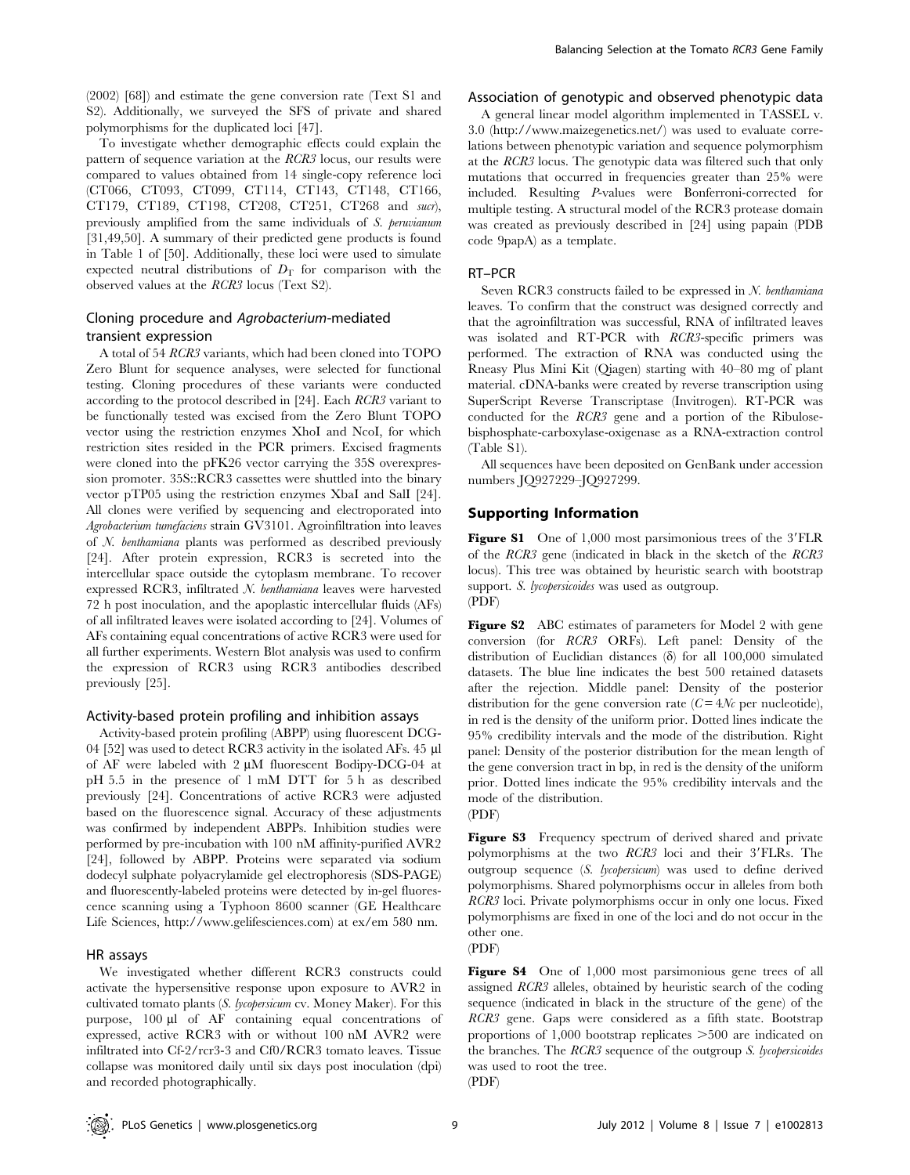(2002) [68]) and estimate the gene conversion rate (Text S1 and S2). Additionally, we surveyed the SFS of private and shared polymorphisms for the duplicated loci [47].

To investigate whether demographic effects could explain the pattern of sequence variation at the RCR3 locus, our results were compared to values obtained from 14 single-copy reference loci (CT066, CT093, CT099, CT114, CT143, CT148, CT166, CT179, CT189, CT198, CT208, CT251, CT268 and sucr), previously amplified from the same individuals of S. peruvianum [31,49,50]. A summary of their predicted gene products is found in Table 1 of [50]. Additionally, these loci were used to simulate expected neutral distributions of  $D<sub>T</sub>$  for comparison with the observed values at the RCR3 locus (Text S2).

# Cloning procedure and Agrobacterium-mediated transient expression

A total of 54 RCR3 variants, which had been cloned into TOPO Zero Blunt for sequence analyses, were selected for functional testing. Cloning procedures of these variants were conducted according to the protocol described in [24]. Each RCR3 variant to be functionally tested was excised from the Zero Blunt TOPO vector using the restriction enzymes XhoI and NcoI, for which restriction sites resided in the PCR primers. Excised fragments were cloned into the pFK26 vector carrying the 35S overexpression promoter. 35S::RCR3 cassettes were shuttled into the binary vector pTP05 using the restriction enzymes XbaI and SalI [24]. All clones were verified by sequencing and electroporated into Agrobacterium tumefaciens strain GV3101. Agroinfiltration into leaves of N. benthamiana plants was performed as described previously [24]. After protein expression, RCR3 is secreted into the intercellular space outside the cytoplasm membrane. To recover expressed RCR3, infiltrated N. benthamiana leaves were harvested 72 h post inoculation, and the apoplastic intercellular fluids (AFs) of all infiltrated leaves were isolated according to [24]. Volumes of AFs containing equal concentrations of active RCR3 were used for all further experiments. Western Blot analysis was used to confirm the expression of RCR3 using RCR3 antibodies described previously [25].

#### Activity-based protein profiling and inhibition assays

Activity-based protein profiling (ABPP) using fluorescent DCG-04 [52] was used to detect RCR3 activity in the isolated AFs. 45 ml of AF were labeled with  $2 \mu M$  fluorescent Bodipy-DCG-04 at pH 5.5 in the presence of 1 mM DTT for 5 h as described previously [24]. Concentrations of active RCR3 were adjusted based on the fluorescence signal. Accuracy of these adjustments was confirmed by independent ABPPs. Inhibition studies were performed by pre-incubation with 100 nM affinity-purified AVR2 [24], followed by ABPP. Proteins were separated via sodium dodecyl sulphate polyacrylamide gel electrophoresis (SDS-PAGE) and fluorescently-labeled proteins were detected by in-gel fluorescence scanning using a Typhoon 8600 scanner (GE Healthcare Life Sciences, http://www.gelifesciences.com) at ex/em 580 nm.

## HR assays

We investigated whether different RCR3 constructs could activate the hypersensitive response upon exposure to AVR2 in cultivated tomato plants (S. lycopersicum cv. Money Maker). For this purpose, 100 µl of AF containing equal concentrations of expressed, active RCR3 with or without 100 nM AVR2 were infiltrated into Cf-2/rcr3-3 and Cf0/RCR3 tomato leaves. Tissue collapse was monitored daily until six days post inoculation (dpi) and recorded photographically.

# Association of genotypic and observed phenotypic data

A general linear model algorithm implemented in TASSEL v. 3.0 (http://www.maizegenetics.net/) was used to evaluate correlations between phenotypic variation and sequence polymorphism at the RCR3 locus. The genotypic data was filtered such that only mutations that occurred in frequencies greater than 25% were included. Resulting P-values were Bonferroni-corrected for multiple testing. A structural model of the RCR3 protease domain was created as previously described in [24] using papain (PDB code 9papA) as a template.

## RT–PCR

Seven RCR3 constructs failed to be expressed in N. benthamiana leaves. To confirm that the construct was designed correctly and that the agroinfiltration was successful, RNA of infiltrated leaves was isolated and RT-PCR with RCR3-specific primers was performed. The extraction of RNA was conducted using the Rneasy Plus Mini Kit (Qiagen) starting with 40–80 mg of plant material. cDNA-banks were created by reverse transcription using SuperScript Reverse Transcriptase (Invitrogen). RT-PCR was conducted for the RCR3 gene and a portion of the Ribulosebisphosphate-carboxylase-oxigenase as a RNA-extraction control (Table S1).

All sequences have been deposited on GenBank under accession numbers JQ927229–JQ927299.

# Supporting Information

**Figure S1** One of  $1,000$  most parsimonious trees of the  $3'$  FLR of the RCR3 gene (indicated in black in the sketch of the RCR3 locus). This tree was obtained by heuristic search with bootstrap support. S. lycopersicoides was used as outgroup. (PDF)

Figure S2 ABC estimates of parameters for Model 2 with gene conversion (for RCR3 ORFs). Left panel: Density of the distribution of Euclidian distances  $(\delta)$  for all 100,000 simulated datasets. The blue line indicates the best 500 retained datasets after the rejection. Middle panel: Density of the posterior distribution for the gene conversion rate  $(C = 4\mathcal{N}c)$  per nucleotide), in red is the density of the uniform prior. Dotted lines indicate the 95% credibility intervals and the mode of the distribution. Right panel: Density of the posterior distribution for the mean length of the gene conversion tract in bp, in red is the density of the uniform prior. Dotted lines indicate the 95% credibility intervals and the mode of the distribution.

Figure S3 Frequency spectrum of derived shared and private polymorphisms at the two RCR3 loci and their 3'FLRs. The outgroup sequence (S. lycopersicum) was used to define derived polymorphisms. Shared polymorphisms occur in alleles from both RCR3 loci. Private polymorphisms occur in only one locus. Fixed polymorphisms are fixed in one of the loci and do not occur in the other one. (PDF)

Figure S4 One of 1,000 most parsimonious gene trees of all assigned RCR3 alleles, obtained by heuristic search of the coding sequence (indicated in black in the structure of the gene) of the RCR3 gene. Gaps were considered as a fifth state. Bootstrap proportions of  $1,000$  bootstrap replicates  $>500$  are indicated on the branches. The RCR3 sequence of the outgroup S. lycopersicoides was used to root the tree.



<sup>(</sup>PDF)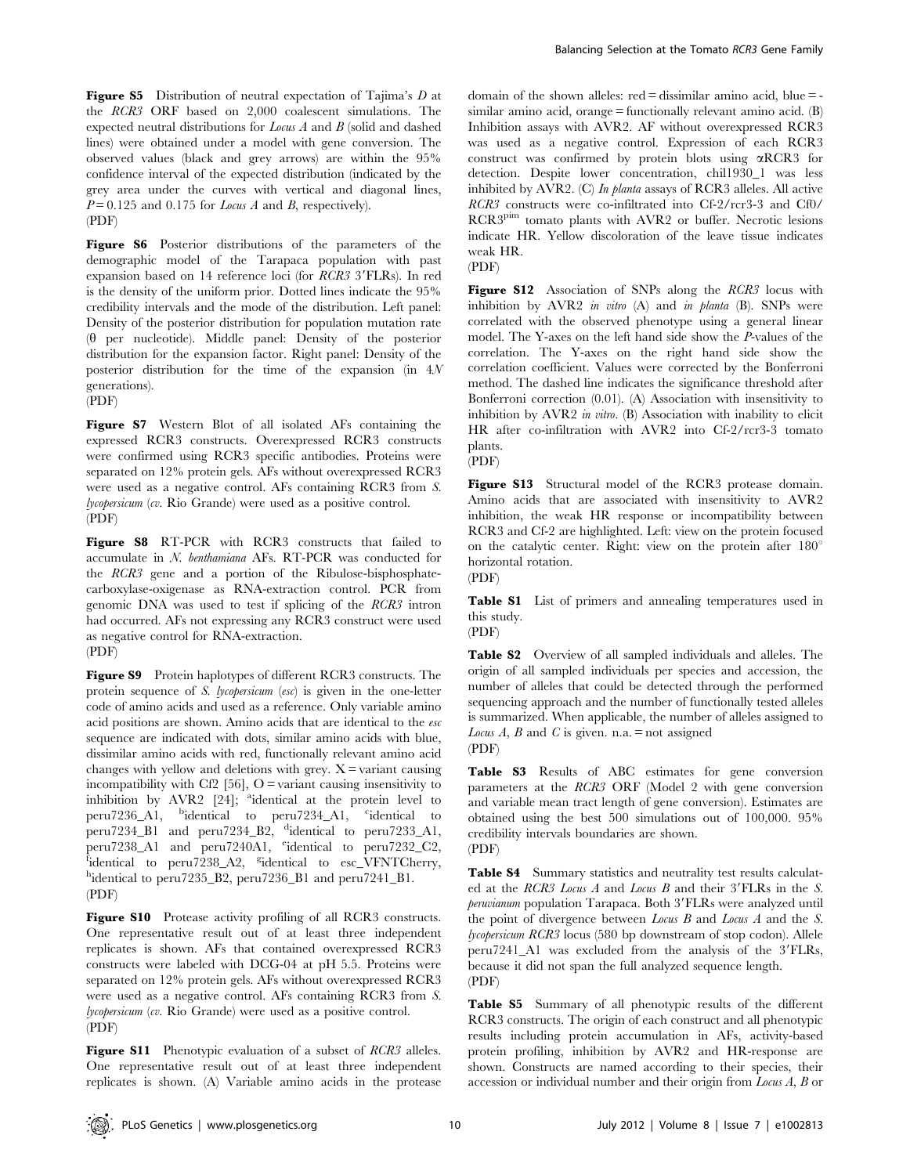Figure S5 Distribution of neutral expectation of Tajima's D at the RCR3 ORF based on 2,000 coalescent simulations. The expected neutral distributions for Locus A and B (solid and dashed lines) were obtained under a model with gene conversion. The observed values (black and grey arrows) are within the 95% confidence interval of the expected distribution (indicated by the grey area under the curves with vertical and diagonal lines,  $P = 0.125$  and 0.175 for *Locus A* and *B*, respectively). (PDF)

Figure S6 Posterior distributions of the parameters of the demographic model of the Tarapaca population with past expansion based on 14 reference loci (for RCR3 3'FLRs). In red is the density of the uniform prior. Dotted lines indicate the 95% credibility intervals and the mode of the distribution. Left panel: Density of the posterior distribution for population mutation rate (h per nucleotide). Middle panel: Density of the posterior distribution for the expansion factor. Right panel: Density of the posterior distribution for the time of the expansion (in 4N generations).

(PDF)

Figure S7 Western Blot of all isolated AFs containing the expressed RCR3 constructs. Overexpressed RCR3 constructs were confirmed using RCR3 specific antibodies. Proteins were separated on 12% protein gels. AFs without overexpressed RCR3 were used as a negative control. AFs containing RCR3 from S. lycopersicum (cv. Rio Grande) were used as a positive control. (PDF)

Figure S8 RT-PCR with RCR3 constructs that failed to accumulate in N. benthamiana AFs. RT-PCR was conducted for the RCR3 gene and a portion of the Ribulose-bisphosphatecarboxylase-oxigenase as RNA-extraction control. PCR from genomic DNA was used to test if splicing of the RCR3 intron had occurred. AFs not expressing any RCR3 construct were used as negative control for RNA-extraction. (PDF)

Figure S9 Protein haplotypes of different RCR3 constructs. The protein sequence of S. lycopersicum (esc) is given in the one-letter code of amino acids and used as a reference. Only variable amino acid positions are shown. Amino acids that are identical to the esc sequence are indicated with dots, similar amino acids with blue, dissimilar amino acids with red, functionally relevant amino acid changes with yellow and deletions with grey.  $X = \text{variant causing}$ incompatibility with Cf2 [56],  $O =$  variant causing insensitivity to inhibition by AVR2 [24]; <sup>a</sup>identical at the protein level to peru7236\_A1, <sup>b</sup>identical to peru7234\_A1, <sup>c</sup>identical to peru7234\_B1 and peru7234\_B2, <sup>d</sup> identical to peru7233\_A1, peru7238\_A1 and peru7240A1, "identical to peru7232\_C2,  $\frac{f_{\text{identical}}}{f_{\text{identical}}}$  to peru7238\_A2,  $\frac{g_{\text{identical}}}{g_{\text{1}}}\$  to esc\_VFNTCherry, identical to peru7235\_B2, peru7236\_B1 and peru7241\_B1. (PDF)

Figure S10 Protease activity profiling of all RCR3 constructs. One representative result out of at least three independent replicates is shown. AFs that contained overexpressed RCR3 constructs were labeled with DCG-04 at pH 5.5. Proteins were separated on 12% protein gels. AFs without overexpressed RCR3 were used as a negative control. AFs containing RCR3 from S. lycopersicum (cv. Rio Grande) were used as a positive control. (PDF)

Figure S11 Phenotypic evaluation of a subset of RCR3 alleles. One representative result out of at least three independent replicates is shown. (A) Variable amino acids in the protease domain of the shown alleles:  $red = dissimilar$  amino acid, blue  $=$ similar amino acid, orange  $=$  functionally relevant amino acid.  $(B)$ Inhibition assays with AVR2. AF without overexpressed RCR3 was used as a negative control. Expression of each RCR3 construct was confirmed by protein blots using  $\alpha RCR3$  for detection. Despite lower concentration, chil1930\_1 was less inhibited by AVR2. (C) In planta assays of RCR3 alleles. All active RCR3 constructs were co-infiltrated into Cf-2/rcr3-3 and Cf0/ RCR3pim tomato plants with AVR2 or buffer. Necrotic lesions indicate HR. Yellow discoloration of the leave tissue indicates weak HR.



Figure S12 Association of SNPs along the RCR3 locus with inhibition by  $AVR2$  in vitro  $(A)$  and in planta  $(B)$ . SNPs were correlated with the observed phenotype using a general linear model. The Y-axes on the left hand side show the P-values of the correlation. The Y-axes on the right hand side show the correlation coefficient. Values were corrected by the Bonferroni method. The dashed line indicates the significance threshold after Bonferroni correction (0.01). (A) Association with insensitivity to inhibition by AVR2 in vitro. (B) Association with inability to elicit HR after co-infiltration with AVR2 into Cf-2/rcr3-3 tomato plants.

Figure S13 Structural model of the RCR3 protease domain. Amino acids that are associated with insensitivity to AVR2 inhibition, the weak HR response or incompatibility between RCR3 and Cf-2 are highlighted. Left: view on the protein focused on the catalytic center. Right: view on the protein after  $180^\circ$ horizontal rotation.

(PDF)

Table S1 List of primers and annealing temperatures used in this study.

(PDF)

Table S2 Overview of all sampled individuals and alleles. The origin of all sampled individuals per species and accession, the number of alleles that could be detected through the performed sequencing approach and the number of functionally tested alleles is summarized. When applicable, the number of alleles assigned to Locus A, B and C is given. n.a. = not assigned (PDF)

Table S3 Results of ABC estimates for gene conversion parameters at the RCR3 ORF (Model 2 with gene conversion and variable mean tract length of gene conversion). Estimates are obtained using the best 500 simulations out of 100,000. 95% credibility intervals boundaries are shown.



Table S4 Summary statistics and neutrality test results calculated at the RCR3 Locus A and Locus B and their  $3'FLRs$  in the S. peruvianum population Tarapaca. Both 3'FLRs were analyzed until the point of divergence between Locus B and Locus A and the S. lycopersicum RCR3 locus (580 bp downstream of stop codon). Allele peru7241\_A1 was excluded from the analysis of the  $3'FLRs$ , because it did not span the full analyzed sequence length. (PDF)

Table S5 Summary of all phenotypic results of the different RCR3 constructs. The origin of each construct and all phenotypic results including protein accumulation in AFs, activity-based protein profiling, inhibition by AVR2 and HR-response are shown. Constructs are named according to their species, their accession or individual number and their origin from Locus A, B or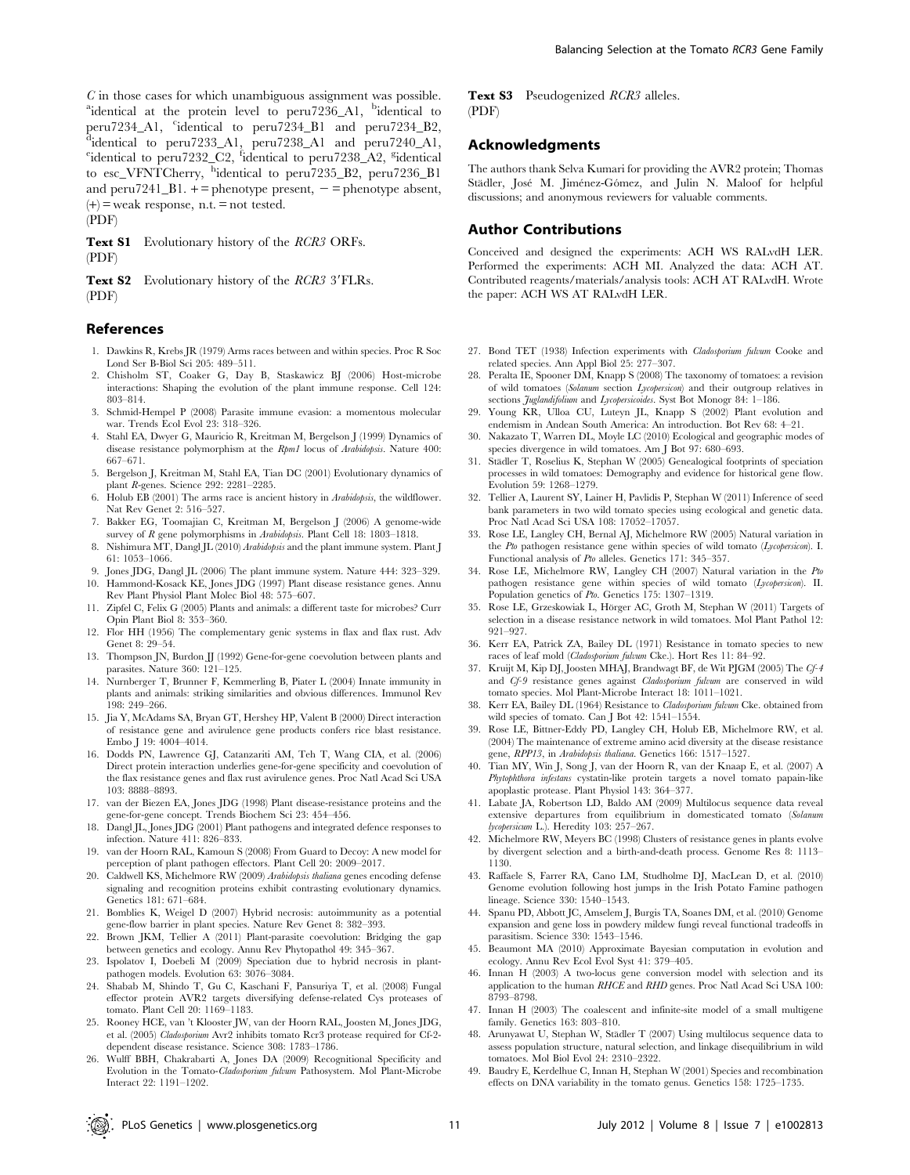$C$  in those cases for which unambiguous assignment was possible. identical at the protein level to peru7236\_A1, <sup>b</sup>identical to peru7234\_A1, <sup>c</sup>identical to peru7234\_B1 and peru7234\_B2,  $\frac{d}{dt}$ didentical to peru7233\_A1, peru7238\_A1 and peru7240\_A1, <sup>e</sup>identical to peru7232\_C2, <sup>f</sup>identical to peru7238\_A2, <sup>g</sup>identical to esc\_VFNTCherry, hidentical to peru7235\_B2, peru7236\_B1 and peru7241\_B1.  $+$  = phenotype present,  $-$  = phenotype absent,  $(+)$  = weak response, n.t. = not tested. (PDF)

Text S1 Evolutionary history of the RCR3 ORFs. (PDF)

Text S2 Evolutionary history of the RCR3 3'FLRs. (PDF)

#### References

- 1. Dawkins R, Krebs JR (1979) Arms races between and within species. Proc R Soc Lond Ser B-Biol Sci 205: 489–511.
- 2. Chisholm ST, Coaker G, Day B, Staskawicz BJ (2006) Host-microbe interactions: Shaping the evolution of the plant immune response. Cell 124: 803–814.
- 3. Schmid-Hempel P (2008) Parasite immune evasion: a momentous molecular war. Trends Ecol Evol 23: 318–326.
- 4. Stahl EA, Dwyer G, Mauricio R, Kreitman M, Bergelson J (1999) Dynamics of disease resistance polymorphism at the Rpm1 locus of Arabidopsis. Nature 400: 667–671.
- 5. Bergelson J, Kreitman M, Stahl EA, Tian DC (2001) Evolutionary dynamics of plant R-genes. Science 292: 2281–2285.
- 6. Holub EB (2001) The arms race is ancient history in Arabidopsis, the wildflower. Nat Rev Genet 2: 516–527.
- 7. Bakker EG, Toomajian C, Kreitman M, Bergelson J (2006) A genome-wide survey of R gene polymorphisms in Arabidopsis. Plant Cell 18: 1803–1818.
- 8. Nishimura MT, Dangl JL (2010) Arabidopsis and the plant immune system. Plant J 61: 1053–1066.
- 9. Jones JDG, Dangl JL (2006) The plant immune system. Nature 444: 323–329. 10. Hammond-Kosack KE, Jones JDG (1997) Plant disease resistance genes. Annu
- Rev Plant Physiol Plant Molec Biol 48: 575–607. 11. Zipfel C, Felix G (2005) Plants and animals: a different taste for microbes? Curr
- Opin Plant Biol 8: 353–360.
- 12. Flor HH (1956) The complementary genic systems in flax and flax rust. Adv Genet 8: 29–54.
- 13. Thompson JN, Burdon JJ (1992) Gene-for-gene coevolution between plants and parasites. Nature 360: 121–125.
- 14. Nurnberger T, Brunner F, Kemmerling B, Piater L (2004) Innate immunity in plants and animals: striking similarities and obvious differences. Immunol Rev 198: 249–266.
- 15. Jia Y, McAdams SA, Bryan GT, Hershey HP, Valent B (2000) Direct interaction of resistance gene and avirulence gene products confers rice blast resistance. Embo J 19: 4004–4014.
- 16. Dodds PN, Lawrence GJ, Catanzariti AM, Teh T, Wang CIA, et al. (2006) Direct protein interaction underlies gene-for-gene specificity and coevolution of the flax resistance genes and flax rust avirulence genes. Proc Natl Acad Sci USA 103: 8888–8893.
- 17. van der Biezen EA, Jones JDG (1998) Plant disease-resistance proteins and the gene-for-gene concept. Trends Biochem Sci 23: 454–456.
- 18. Dangl JL, Jones JDG (2001) Plant pathogens and integrated defence responses to infection. Nature 411: 826–833.
- 19. van der Hoorn RAL, Kamoun S (2008) From Guard to Decoy: A new model for perception of plant pathogen effectors. Plant Cell 20: 2009–2017.
- 20. Caldwell KS, Michelmore RW (2009) Arabidopsis thaliana genes encoding defense signaling and recognition proteins exhibit contrasting evolutionary dynamics. Genetics 181: 671–684.
- 21. Bomblies K, Weigel D (2007) Hybrid necrosis: autoimmunity as a potential gene-flow barrier in plant species. Nature Rev Genet 8: 382–393.
- 22. Brown JKM, Tellier A (2011) Plant-parasite coevolution: Bridging the gap between genetics and ecology. Annu Rev Phytopathol 49: 345–367.
- 23. Ispolatov I, Doebeli M (2009) Speciation due to hybrid necrosis in plantpathogen models. Evolution 63: 3076–3084.
- 24. Shabab M, Shindo T, Gu C, Kaschani F, Pansuriya T, et al. (2008) Fungal effector protein AVR2 targets diversifying defense-related Cys proteases of tomato. Plant Cell 20: 1169–1183.
- 25. Rooney HCE, van 't Klooster JW, van der Hoorn RAL, Joosten M, Jones JDG, et al. (2005) Cladosporium Avr2 inhibits tomato Rcr3 protease required for Cf-2 dependent disease resistance. Science 308: 1783–1786.
- 26. Wulff BBH, Chakrabarti A, Jones DA (2009) Recognitional Specificity and Evolution in the Tomato-Cladosporium fulvum Pathosystem. Mol Plant-Microbe Interact 22: 1191–1202.

Text S3 Pseudogenized RCR3 alleles. (PDF)

## Acknowledgments

The authors thank Selva Kumari for providing the AVR2 protein; Thomas Städler, José M. Jiménez-Gómez, and Julin N. Maloof for helpful discussions; and anonymous reviewers for valuable comments.

# Author Contributions

Conceived and designed the experiments: ACH WS RALvdH LER. Performed the experiments: ACH MI. Analyzed the data: ACH AT. Contributed reagents/materials/analysis tools: ACH AT RALvdH. Wrote the paper: ACH WS AT RALvdH LER.

- 27. Bond TET (1938) Infection experiments with Cladosporium fulvum Cooke and related species. Ann Appl Biol 25: 277–307.
- 28. Peralta IE, Spooner DM, Knapp S (2008) The taxonomy of tomatoes: a revision of wild tomatoes (Solanum section Lycopersicon) and their outgroup relatives in sections *Juglandifolium* and *Lycopersicoides*. Syst Bot Monogr 84: 1-186.
- 29. Young KR, Ulloa CU, Luteyn JL, Knapp S (2002) Plant evolution and endemism in Andean South America: An introduction. Bot Rev 68: 4–21.
- 30. Nakazato T, Warren DL, Moyle LC (2010) Ecological and geographic modes of species divergence in wild tomatoes. Am J Bot 97: 680–693.
- 31. Städler T, Roselius K, Stephan W (2005) Genealogical footprints of speciation processes in wild tomatoes: Demography and evidence for historical gene flow. Evolution 59: 1268–1279.
- 32. Tellier A, Laurent SY, Lainer H, Pavlidis P, Stephan W (2011) Inference of seed bank parameters in two wild tomato species using ecological and genetic data. Proc Natl Acad Sci USA 108: 17052–17057.
- 33. Rose LE, Langley CH, Bernal AJ, Michelmore RW (2005) Natural variation in the Pto pathogen resistance gene within species of wild tomato (Lycopersicon). I. Functional analysis of Pto alleles. Genetics 171: 345–357.
- 34. Rose LE, Michelmore RW, Langley CH (2007) Natural variation in the Pto pathogen resistance gene within species of wild tomato (Lycopersicon). II. Population genetics of Pto. Genetics  $175: 1307-1319$ .
- 35. Rose LE, Grzeskowiak L, Hörger AC, Groth M, Stephan W (2011) Targets of selection in a disease resistance network in wild tomatoes. Mol Plant Pathol 12: 921–927.
- 36. Kerr EA, Patrick ZA, Bailey DL (1971) Resistance in tomato species to new races of leaf mold (Cladosporium fulvum Cke.). Hort Res 11: 84–92.
- 37. Kruijt M, Kip DJ, Joosten MHAJ, Brandwagt BF, de Wit PJGM (2005) The Cf-4 and Cf-9 resistance genes against Cladosporium fulvum are conserved in wild tomato species. Mol Plant-Microbe Interact 18: 1011–1021.
- 38. Kerr EA, Bailey DL (1964) Resistance to Cladosporium fulvum Cke. obtained from wild species of tomato. Can J Bot 42: 1541–1554.
- 39. Rose LE, Bittner-Eddy PD, Langley CH, Holub EB, Michelmore RW, et al. (2004) The maintenance of extreme amino acid diversity at the disease resistance gene, RPP13, in Arabidopsis thaliana. Genetics 166: 1517–1527.
- 40. Tian MY, Win J, Song J, van der Hoorn R, van der Knaap E, et al. (2007) A Phytophthora infestans cystatin-like protein targets a novel tomato papain-like apoplastic protease. Plant Physiol 143: 364–377.
- 41. Labate JA, Robertson LD, Baldo AM (2009) Multilocus sequence data reveal extensive departures from equilibrium in domesticated tomato (Solanum lycopersicum L.). Heredity 103: 257–267.
- 42. Michelmore RW, Meyers BC (1998) Clusters of resistance genes in plants evolve by divergent selection and a birth-and-death process. Genome Res 8: 1113– 1130.
- 43. Raffaele S, Farrer RA, Cano LM, Studholme DJ, MacLean D, et al. (2010) Genome evolution following host jumps in the Irish Potato Famine pathogen lineage. Science 330: 1540–1543.
- 44. Spanu PD, Abbott JC, Amselem J, Burgis TA, Soanes DM, et al. (2010) Genome expansion and gene loss in powdery mildew fungi reveal functional tradeoffs in parasitism. Science 330: 1543–1546.
- 45. Beaumont MA (2010) Approximate Bayesian computation in evolution and ecology. Annu Rev Ecol Evol Syst 41: 379–405.
- 46. Innan H (2003) A two-locus gene conversion model with selection and its application to the human RHCE and RHD genes. Proc Natl Acad Sci USA 100: 8793–8798.
- 47. Innan H (2003) The coalescent and infinite-site model of a small multigene family. Genetics 163: 803–810.
- 48. Arunyawat U, Stephan W, Städler T (2007) Using multilocus sequence data to assess population structure, natural selection, and linkage disequilibrium in wild tomatoes. Mol Biol Evol 24: 2310–2322.
- 49. Baudry E, Kerdelhue C, Innan H, Stephan W (2001) Species and recombination effects on DNA variability in the tomato genus. Genetics 158: 1725–1735.